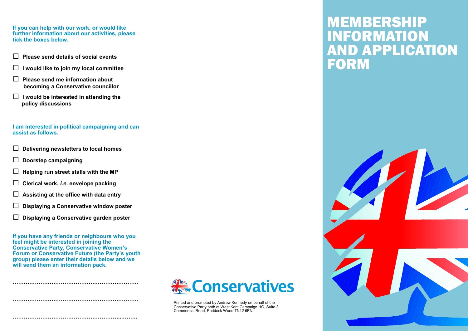**If you can help with our work, or would like further information about our activities, please tick the boxes below.**

- **□ Please send details of social events**
- **□ I would like to join my local committee**
- **□ Please send me information about becoming a Conservative councillor**
- **□ I would be interested in attending the policy discussions**

#### **I am interested in political campaigning and can assist as follows.**

- **□ Delivering newsletters to local homes**
- **□ Doorstep campaigning**
- **□ Helping run street stalls with the MP**
- **□ Clerical work,** *i.e.* **envelope packing**
- **□ Assisting at the office with data entry**
- **□ Displaying a Conservative window poster**
- **□ Displaying a Conservative garden poster**

**If you have any friends or neighbours who you feel might be interested in joining the Conservative Party, Conservative Women's Forum or Conservative Future (the Party's youth group) please enter their details below and we will send them an information pack.**

**…………………………………………………………..**

**…………………………………………………………..**

**…………………………………………………...……..**



Printed and promoted by Andrew Kennedy on behalf of the Conservative Party both at West Kent Campaign HQ, Suite 3, Commercial Road, Paddock Wood TN12 6EN

# MEMBERSHIP **IFORMATI APPLICATION** FOR